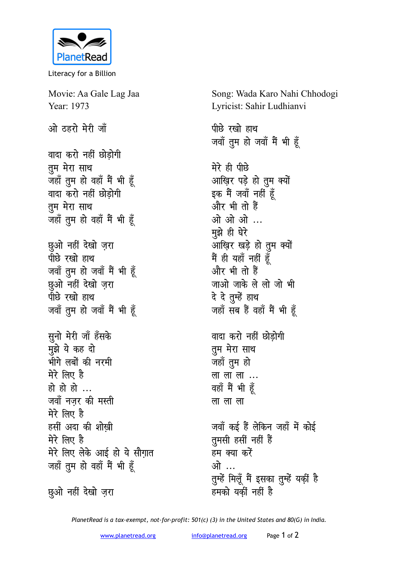

Literacy for a Billion

Movie: Aa Gale Lag Jaa Year: 1973

ओ ठहरो मेरी जाँ

वादा करो नहीं छोडोगी तुम मेरा साथ जहाँ तुम हो वहाँ मैं भी हूँ वादा करो नहीं छोडोगी तुम मेरा साथ जहाँ तुम हो वहाँ मैं भी हूँ

छुओ नहीं देखो ज़रा पीछे रखो हाथ जवाँ तुम हो जवाँ मैं भी हूँ छुओ नहीं देखो ज़रा पीछे रखो हाथ जवाँ तुम हो जवाँ मैं भी हूँ

सुनो मेरी जाँ हँसके मझे ये कह दो भीगे लबों की नरमी मेरे लिए है हो हो हो ... जवाँ नजर की मस्ती मेरे लिए है हसीं अदा की शोखी मेरे लिए है मेरे लिए लेके आई हो ये सौग़ात जहाँ तुम हो वहाँ मैं भी हूँ

छुओ नहीं देखो ज़रा

Song: Wada Karo Nahi Chhodogi Lyricist: Sahir Ludhianvi

पीछे रखो हाथ जवाँ तुम हो जवाँ मैं भी हूँ

मेरे ही पीछे आख़िर पड़े हो तुम क्यों इक मैं जवाँ नहीं हूँ और भी तो हैं ओ ओ ओ ... मझे ही घेरे आख़िर खड़े हो तुम क्यों मैं ही यहाँ नहीं हूँ और भी तो हैं जाओ जाके ले लो जो भी दे दे तुम्हें हाथ जहाँ सब हैं वहाँ मैं भी हूँ

वादा करो नहीं छोडोगी तुम मेरा साथ जहाँ तुम हो लालाला... वहाँ मैं भी हूँ ला ला ला

जवाँ कई हैं लेकिन जहाँ में कोई तुमसी हसीं नहीं हैं हम क्या करें ओ … तुम्हें मिलूँ मैं इसका तुम्हें यकीं है हमको यकीं नहीं है

PlanetRead is a tax-exempt, not-for-profit: 501(c) (3) in the United States and 80(G) in India.